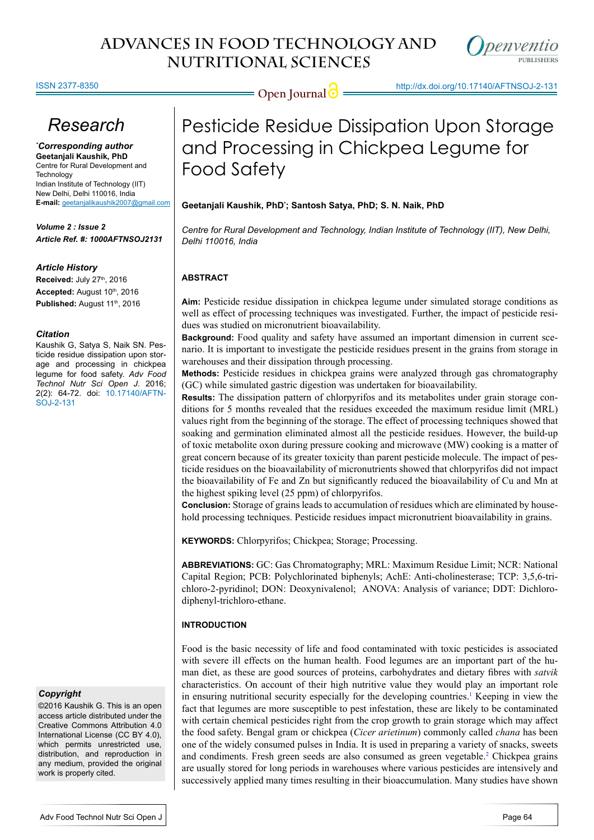

#### ISSN 2377-8350

# *Research*

*\* Corresponding author* **Geetanjali Kaushik, PhD** Centre for Rural Development and **Technology** Indian Institute of Technology (IIT) New Delhi, Delhi 110016, India **E-mail:** geetanjalikaushik2007@gmail.com

*Volume 2 : Issue 2 Article Ref. #: 1000AFTNSOJ2131*

#### *Article History*

**Received: July 27th, 2016** Accepted: August 10th, 2016 Published: August 11<sup>th</sup>, 2016

#### *Citation*

Kaushik G, Satya S, Naik SN. Pesticide residue dissipation upon storage and processing in chickpea legume for food safety. *Adv Food Technol Nutr Sci Open J*. 2016; 2(2): 64-72. doi: [10.17140/AFTN-](http://dx.doi.org/10.17140/AFTNSOJ-2-131)[SOJ-2-131](http://dx.doi.org/10.17140/AFTNSOJ-2-131)

#### *Copyright*

©2016 Kaushik G. This is an open access article distributed under the Creative Commons Attribution 4.0 International License (CC BY 4.0), which permits unrestricted use, distribution, and reproduction in any medium, provided the original work is properly cited.

# **Open Journal @** http://dx.doi.org/10.17140/AFTNSOJ-2-131

# Pesticide Residue Dissipation Upon Storage and Processing in Chickpea Legume for Food Safety

### **Geetanjali Kaushik, PhD\* ; Santosh Satya, PhD; S. N. Naik, PhD**

*Centre for Rural Development and Technology, Indian Institute of Technology (IIT), New Delhi, Delhi 110016, India*

### **ABSTRACT**

**Aim:** Pesticide residue dissipation in chickpea legume under simulated storage conditions as well as effect of processing techniques was investigated. Further, the impact of pesticide residues was studied on micronutrient bioavailability.

**Background:** Food quality and safety have assumed an important dimension in current scenario. It is important to investigate the pesticide residues present in the grains from storage in warehouses and their dissipation through processing.

**Methods:** Pesticide residues in chickpea grains were analyzed through gas chromatography (GC) while simulated gastric digestion was undertaken for bioavailability.

**Results:** The dissipation pattern of chlorpyrifos and its metabolites under grain storage conditions for 5 months revealed that the residues exceeded the maximum residue limit (MRL) values right from the beginning of the storage. The effect of processing techniques showed that soaking and germination eliminated almost all the pesticide residues. However, the build-up of toxic metabolite oxon during pressure cooking and microwave (MW) cooking is a matter of great concern because of its greater toxicity than parent pesticide molecule. The impact of pesticide residues on the bioavailability of micronutrients showed that chlorpyrifos did not impact the bioavailability of Fe and Zn but significantly reduced the bioavailability of Cu and Mn at the highest spiking level (25 ppm) of chlorpyrifos.

**Conclusion:** Storage of grains leads to accumulation of residues which are eliminated by household processing techniques. Pesticide residues impact micronutrient bioavailability in grains.

**KEYWORDS:** Chlorpyrifos; Chickpea; Storage; Processing.

**ABBREVIATIONS:** GC: Gas Chromatography; MRL: Maximum Residue Limit; NCR: National Capital Region; PCB: Polychlorinated biphenyls; AchE: Anti-cholinesterase; TCP: 3,5,6-trichloro-2-pyridinol; DON: Deoxynivalenol; ANOVA: Analysis of variance; DDT: Dichlorodiphenyl-trichloro-ethane.

### **INTRODUCTION**

Food is the basic necessity of life and food contaminated with toxic pesticides is associated with severe ill effects on the human health. Food legumes are an important part of the human diet, as these are good sources of proteins, carbohydrates and dietary fibres with *satvik* characteristics. On account of their high nutritive value they would play an important role in ensuring nutritional security especially for the developing countries.<sup>1</sup> Keeping in view the fact that legumes are more susceptible to pest infestation, these are likely to be contaminated with certain chemical pesticides right from the crop growth to grain storage which may affect the food safety. Bengal gram or chickpea (*Cicer arietinum*) commonly called *chana* has been one of the widely consumed pulses in India. It is used in preparing a variety of snacks, sweets and condiments. Fresh green seeds are also consumed as green vegetable[.2](#page-6-1) Chickpea grains are usually stored for long periods in warehouses where various pesticides are intensively and successively applied many times resulting in their bioaccumulation. Many studies have shown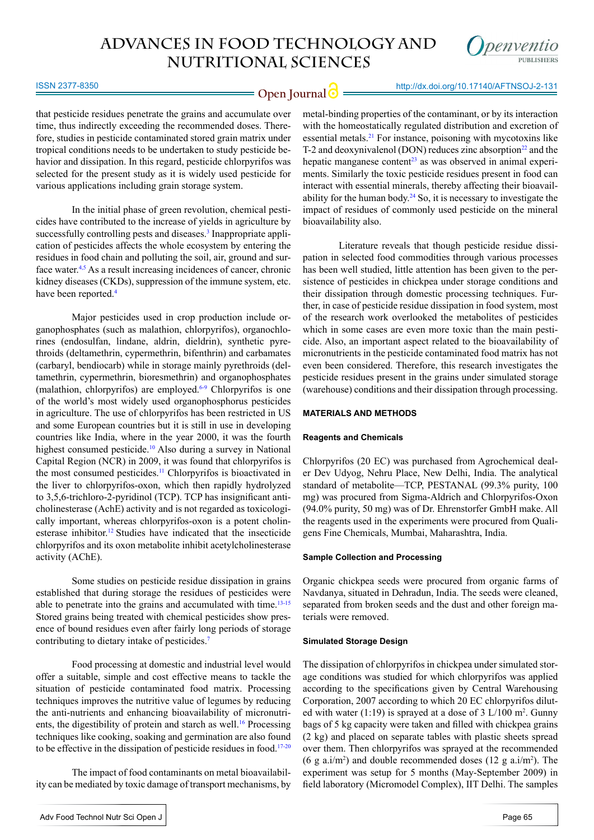

**Open Journal O** <u>Interviews</u> 2008 12-131

that pesticide residues penetrate the grains and accumulate over time, thus indirectly exceeding the recommended doses. Therefore, studies in pesticide contaminated stored grain matrix under tropical conditions needs to be undertaken to study pesticide behavior and dissipation. In this regard, pesticide chlorpyrifos was selected for the present study as it is widely used pesticide for various applications including grain storage system.

In the initial phase of green revolution, chemical pesticides have contributed to the increase of yields in agriculture by successfully controlling pests and diseases.<sup>3</sup> Inappropriate application of pesticides affects the whole ecosystem by entering the residues in food chain and polluting the soil, air, ground and surface water.<sup>4,5</sup> As a result increasing incidences of cancer, chronic kidney diseases (CKDs), suppression of the immune system, etc. have been reported.<sup>[4](#page-6-3)</sup>

Major pesticides used in crop production include organophosphates (such as malathion, chlorpyrifos), organochlorines (endosulfan, lindane, aldrin, dieldrin), synthetic pyrethroids (deltamethrin, cypermethrin, bifenthrin) and carbamates (carbaryl, bendiocarb) while in storage mainly pyrethroids (deltamethrin, cypermethrin, bioresmethrin) and organophosphates (malathion, chlorpyrifos) are employed. $6-9$  Chlorpyrifos is one of the world's most widely used organophosphorus pesticides in agriculture. The use of chlorpyrifos has been restricted in US and some European countries but it is still in use in developing countries like India, where in the year 2000, it was the fourth highest consumed pesticide.<sup>[10](#page-7-0)</sup> Also during a survey in National Capital Region (NCR) in 2009, it was found that chlorpyrifos is the most consumed pesticides[.11](#page-7-1) Chlorpyrifos is bioactivated in the liver to chlorpyrifos-oxon, which then rapidly hydrolyzed to 3,5,6-trichloro-2-pyridinol (TCP). TCP has insignificant anticholinesterase (AchE) activity and is not regarded as toxicologically important, whereas chlorpyrifos-oxon is a potent cholinesterase inhibitor.<sup>12</sup> Studies have indicated that the insecticide chlorpyrifos and its oxon metabolite inhibit acetylcholinesterase activity (AChE).

Some studies on pesticide residue dissipation in grains established that during storage the residues of pesticides were able to penetrate into the grains and accumulated with time.<sup>13-15</sup> Stored grains being treated with chemical pesticides show presence of bound residues even after fairly long periods of storage contributing to dietary intake of pesticides.[7](#page-6-5)

Food processing at domestic and industrial level would offer a suitable, simple and cost effective means to tackle the situation of pesticide contaminated food matrix. Processing techniques improves the nutritive value of legumes by reducing the anti-nutrients and enhancing bioavailability of micronutrients, the digestibility of protein and starch as well.<sup>16</sup> Processing techniques like cooking, soaking and germination are also found to be effective in the dissipation of pesticide residues in food[.17-20](#page-7-5)

The impact of food contaminants on metal bioavailability can be mediated by toxic damage of transport mechanisms, by metal-binding properties of the contaminant, or by its interaction with the homeostatically regulated distribution and excretion of essential metals.21 For instance, poisoning with mycotoxins like T-2 and deoxynivalenol (DON) reduces zinc absorption $^{22}$  and the hepatic manganese content<sup>23</sup> as was observed in animal experiments. Similarly the toxic pesticide residues present in food can interact with essential minerals, thereby affecting their bioavailability for the human body.<sup>24</sup> So, it is necessary to investigate the impact of residues of commonly used pesticide on the mineral bioavailability also.

Literature reveals that though pesticide residue dissipation in selected food commodities through various processes has been well studied, little attention has been given to the persistence of pesticides in chickpea under storage conditions and their dissipation through domestic processing techniques. Further, in case of pesticide residue dissipation in food system, most of the research work overlooked the metabolites of pesticides which in some cases are even more toxic than the main pesticide. Also, an important aspect related to the bioavailability of micronutrients in the pesticide contaminated food matrix has not even been considered. Therefore, this research investigates the pesticide residues present in the grains under simulated storage (warehouse) conditions and their dissipation through processing.

#### **MATERIALS AND METHODS**

#### **Reagents and Chemicals**

Chlorpyrifos (20 EC) was purchased from Agrochemical dealer Dev Udyog, Nehru Place, New Delhi, India. The analytical standard of metabolite—TCP, PESTANAL (99.3% purity, 100 mg) was procured from Sigma-Aldrich and Chlorpyrifos-Oxon (94.0% purity, 50 mg) was of Dr. Ehrenstorfer GmbH make. All the reagents used in the experiments were procured from Qualigens Fine Chemicals, Mumbai, Maharashtra, India.

#### **Sample Collection and Processing**

Organic chickpea seeds were procured from organic farms of Navdanya, situated in Dehradun, India. The seeds were cleaned, separated from broken seeds and the dust and other foreign materials were removed.

#### **Simulated Storage Design**

The dissipation of chlorpyrifos in chickpea under simulated storage conditions was studied for which chlorpyrifos was applied according to the specifications given by Central Warehousing Corporation, 2007 according to which 20 EC chlorpyrifos diluted with water  $(1:19)$  is sprayed at a dose of 3 L/100 m<sup>2</sup>. Gunny bags of 5 kg capacity were taken and filled with chickpea grains (2 kg) and placed on separate tables with plastic sheets spread over them. Then chlorpyrifos was sprayed at the recommended (6 g a.i/m<sup>2</sup>) and double recommended doses (12 g a.i/m<sup>2</sup>). The experiment was setup for 5 months (May-September 2009) in field laboratory (Micromodel Complex), IIT Delhi. The samples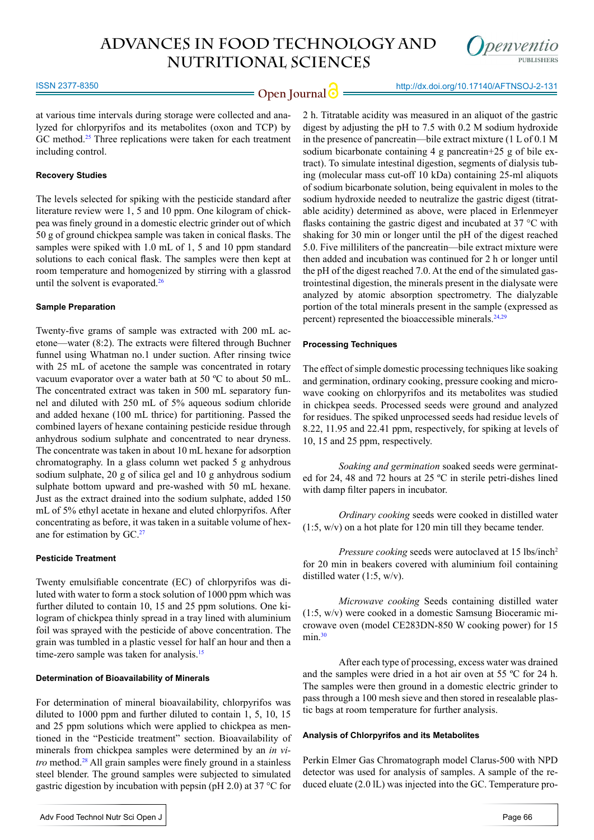

**Open Journal** http://dx.doi.org/10.17140/AFTNSOJ-2-131

at various time intervals during storage were collected and analyzed for chlorpyrifos and its metabolites (oxon and TCP) by GC method.<sup>25</sup> Three replications were taken for each treatment including control.

#### **Recovery Studies**

The levels selected for spiking with the pesticide standard after literature review were 1, 5 and 10 ppm. One kilogram of chickpea was finely ground in a domestic electric grinder out of which 50 g of ground chickpea sample was taken in conical flasks. The samples were spiked with 1.0 mL of 1, 5 and 10 ppm standard solutions to each conical flask. The samples were then kept at room temperature and homogenized by stirring with a glassrod until the solvent is evaporated.<sup>26</sup>

#### **Sample Preparation**

Twenty-five grams of sample was extracted with 200 mL acetone—water (8:2). The extracts were filtered through Buchner funnel using Whatman no.1 under suction. After rinsing twice with 25 mL of acetone the sample was concentrated in rotary vacuum evaporator over a water bath at 50 ºC to about 50 mL. The concentrated extract was taken in 500 mL separatory funnel and diluted with 250 mL of 5% aqueous sodium chloride and added hexane (100 mL thrice) for partitioning. Passed the combined layers of hexane containing pesticide residue through anhydrous sodium sulphate and concentrated to near dryness. The concentrate was taken in about 10 mL hexane for adsorption chromatography. In a glass column wet packed 5 g anhydrous sodium sulphate, 20 g of silica gel and 10 g anhydrous sodium sulphate bottom upward and pre-washed with 50 mL hexane. Just as the extract drained into the sodium sulphate, added 150 mL of 5% ethyl acetate in hexane and eluted chlorpyrifos. After concentrating as before, it was taken in a suitable volume of hexane for estimation by GC.[27](#page-7-11)

#### **Pesticide Treatment**

Twenty emulsifiable concentrate (EC) of chlorpyrifos was diluted with water to form a stock solution of 1000 ppm which was further diluted to contain 10, 15 and 25 ppm solutions. One kilogram of chickpea thinly spread in a tray lined with aluminium foil was sprayed with the pesticide of above concentration. The grain was tumbled in a plastic vessel for half an hour and then a time-zero sample was taken for analysis.<sup>[15](#page-7-12)</sup>

#### **Determination of Bioavailability of Minerals**

For determination of mineral bioavailability, chlorpyrifos was diluted to 1000 ppm and further diluted to contain 1, 5, 10, 15 and 25 ppm solutions which were applied to chickpea as mentioned in the "Pesticide treatment" section. Bioavailability of minerals from chickpea samples were determined by an *in vitro* method.<sup>28</sup> All grain samples were finely ground in a stainless steel blender. The ground samples were subjected to simulated gastric digestion by incubation with pepsin (pH 2.0) at 37 °C for

2 h. Titratable acidity was measured in an aliquot of the gastric digest by adjusting the pH to 7.5 with 0.2 M sodium hydroxide in the presence of pancreatin—bile extract mixture (1 L of 0.1 M sodium bicarbonate containing 4 g pancreatin+25 g of bile extract). To simulate intestinal digestion, segments of dialysis tubing (molecular mass cut-off 10 kDa) containing 25-ml aliquots of sodium bicarbonate solution, being equivalent in moles to the sodium hydroxide needed to neutralize the gastric digest (titratable acidity) determined as above, were placed in Erlenmeyer flasks containing the gastric digest and incubated at 37 °C with shaking for 30 min or longer until the pH of the digest reached 5.0. Five milliliters of the pancreatin—bile extract mixture were then added and incubation was continued for 2 h or longer until the pH of the digest reached 7.0. At the end of the simulated gastrointestinal digestion, the minerals present in the dialysate were analyzed by atomic absorption spectrometry. The dialyzable portion of the total minerals present in the sample (expressed as percent) represented the bioaccessible minerals.<sup>[24,](#page-7-8)[29](#page-7-14)</sup>

#### **Processing Techniques**

The effect of simple domestic processing techniques like soaking and germination, ordinary cooking, pressure cooking and microwave cooking on chlorpyrifos and its metabolites was studied in chickpea seeds. Processed seeds were ground and analyzed for residues. The spiked unprocessed seeds had residue levels of 8.22, 11.95 and 22.41 ppm, respectively, for spiking at levels of 10, 15 and 25 ppm, respectively.

*Soaking and germination* soaked seeds were germinated for 24, 48 and 72 hours at 25 ºC in sterile petri-dishes lined with damp filter papers in incubator.

*Ordinary cooking* seeds were cooked in distilled water (1:5, w/v) on a hot plate for 120 min till they became tender.

*Pressure cooking* seeds were autoclaved at 15 lbs/inch<sup>2</sup> for 20 min in beakers covered with aluminium foil containing distilled water (1:5, w/v).

*Microwave cooking* Seeds containing distilled water (1:5, w/v) were cooked in a domestic Samsung Bioceramic microwave oven (model CE283DN-850 W cooking power) for 15  $min.<sup>30</sup>$  $min.<sup>30</sup>$  $min.<sup>30</sup>$ 

After each type of processing, excess water was drained and the samples were dried in a hot air oven at 55 ºC for 24 h. The samples were then ground in a domestic electric grinder to pass through a 100 mesh sieve and then stored in resealable plastic bags at room temperature for further analysis.

#### **Analysis of Chlorpyrifos and its Metabolites**

Perkin Elmer Gas Chromatograph model Clarus-500 with NPD detector was used for analysis of samples. A sample of the reduced eluate (2.0 lL) was injected into the GC. Temperature pro-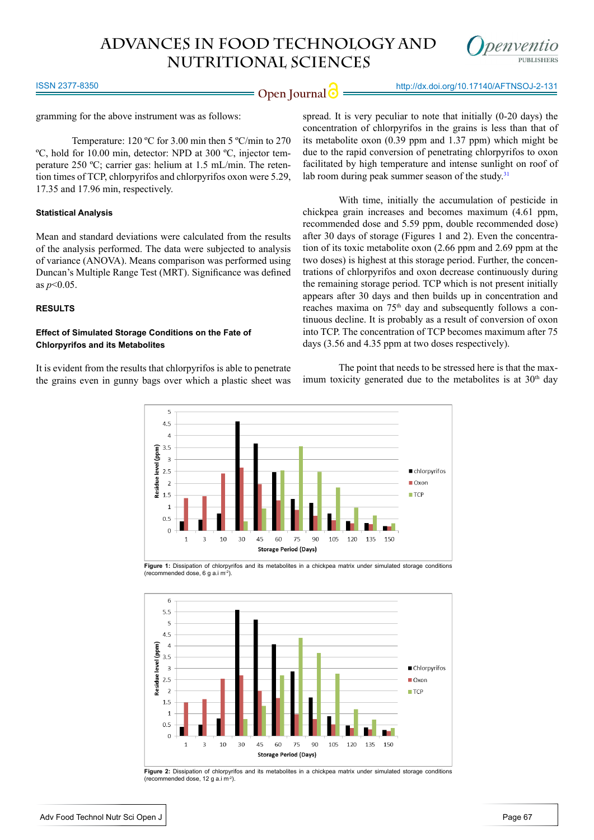

**Open Journal @** http://dx.doi.org/10.17140/AFTNSOJ-2-131

ISSN 2377-8350

gramming for the above instrument was as follows:

Temperature: 120 ºC for 3.00 min then 5 ºC/min to 270 ºC, hold for 10.00 min, detector: NPD at 300 ºC, injector temperature 250 ºC; carrier gas: helium at 1.5 mL/min. The retention times of TCP, chlorpyrifos and chlorpyrifos oxon were 5.29, 17.35 and 17.96 min, respectively.

#### **Statistical Analysis**

Mean and standard deviations were calculated from the results of the analysis performed. The data were subjected to analysis of variance (ANOVA). Means comparison was performed using Duncan's Multiple Range Test (MRT). Significance was defined as *p*<0.05.

#### **RESULTS**

#### **Effect of Simulated Storage Conditions on the Fate of Chlorpyrifos and its Metabolites**

It is evident from the results that chlorpyrifos is able to penetrate the grains even in gunny bags over which a plastic sheet was

spread. It is very peculiar to note that initially (0-20 days) the concentration of chlorpyrifos in the grains is less than that of its metabolite oxon (0.39 ppm and 1.37 ppm) which might be due to the rapid conversion of penetrating chlorpyrifos to oxon facilitated by high temperature and intense sunlight on roof of lab room during peak summer season of the study.<sup>[31](#page-7-16)</sup>

With time, initially the accumulation of pesticide in chickpea grain increases and becomes maximum (4.61 ppm, recommended dose and 5.59 ppm, double recommended dose) after 30 days of storage (Figures 1 and 2). Even the concentration of its toxic metabolite oxon (2.66 ppm and 2.69 ppm at the two doses) is highest at this storage period. Further, the concentrations of chlorpyrifos and oxon decrease continuously during the remaining storage period. TCP which is not present initially appears after 30 days and then builds up in concentration and reaches maxima on 75<sup>th</sup> day and subsequently follows a continuous decline. It is probably as a result of conversion of oxon into TCP. The concentration of TCP becomes maximum after 75 days (3.56 and 4.35 ppm at two doses respectively).

The point that needs to be stressed here is that the maximum toxicity generated due to the metabolites is at  $30<sup>th</sup>$  day



**Figure 1:** Dissipation of chlorpyrifos and its metabolites in a chickpea matrix under simulated storage conditions (recommended dose, 6 g a.i m-2).



**Figure 2:** Dissipation of chlorpyrifos and its metabolites in a chickpea matrix under simulated storage conditions (recommended dose, 12 g a.i m-2).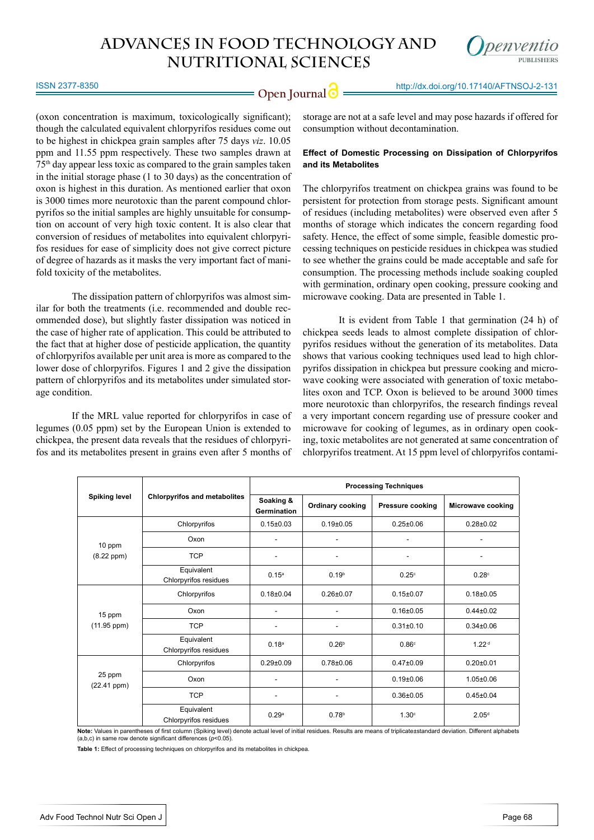

**Open Journal @** http://dx.doi.org/10.17140/AFTNSOJ-2-131

(oxon concentration is maximum, toxicologically significant); though the calculated equivalent chlorpyrifos residues come out to be highest in chickpea grain samples after 75 days *viz*. 10.05 ppm and 11.55 ppm respectively. These two samples drawn at 75th day appear less toxic as compared to the grain samples taken in the initial storage phase (1 to 30 days) as the concentration of oxon is highest in this duration. As mentioned earlier that oxon is 3000 times more neurotoxic than the parent compound chlorpyrifos so the initial samples are highly unsuitable for consumption on account of very high toxic content. It is also clear that conversion of residues of metabolites into equivalent chlorpyrifos residues for ease of simplicity does not give correct picture of degree of hazards as it masks the very important fact of manifold toxicity of the metabolites.

The dissipation pattern of chlorpyrifos was almost similar for both the treatments (i.e. recommended and double recommended dose), but slightly faster dissipation was noticed in the case of higher rate of application. This could be attributed to the fact that at higher dose of pesticide application, the quantity of chlorpyrifos available per unit area is more as compared to the lower dose of chlorpyrifos. Figures 1 and 2 give the dissipation pattern of chlorpyrifos and its metabolites under simulated storage condition.

If the MRL value reported for chlorpyrifos in case of legumes (0.05 ppm) set by the European Union is extended to chickpea, the present data reveals that the residues of chlorpyrifos and its metabolites present in grains even after 5 months of storage are not at a safe level and may pose hazards if offered for consumption without decontamination.

#### **Effect of Domestic Processing on Dissipation of Chlorpyrifos and its Metabolites**

The chlorpyrifos treatment on chickpea grains was found to be persistent for protection from storage pests. Significant amount of residues (including metabolites) were observed even after 5 months of storage which indicates the concern regarding food safety. Hence, the effect of some simple, feasible domestic processing techniques on pesticide residues in chickpea was studied to see whether the grains could be made acceptable and safe for consumption. The processing methods include soaking coupled with germination, ordinary open cooking, pressure cooking and microwave cooking. Data are presented in Table 1.

It is evident from Table 1 that germination (24 h) of chickpea seeds leads to almost complete dissipation of chlorpyrifos residues without the generation of its metabolites. Data shows that various cooking techniques used lead to high chlorpyrifos dissipation in chickpea but pressure cooking and microwave cooking were associated with generation of toxic metabolites oxon and TCP. Oxon is believed to be around 3000 times more neurotoxic than chlorpyrifos, the research findings reveal a very important concern regarding use of pressure cooker and microwave for cooking of legumes, as in ordinary open cooking, toxic metabolites are not generated at same concentration of chlorpyrifos treatment. At 15 ppm level of chlorpyrifos contami-

| <b>Spiking level</b>        | <b>Chlorpyrifos and metabolites</b> | <b>Processing Techniques</b>    |                         |                         |                          |  |
|-----------------------------|-------------------------------------|---------------------------------|-------------------------|-------------------------|--------------------------|--|
|                             |                                     | Soaking &<br><b>Germination</b> | <b>Ordinary cooking</b> | <b>Pressure cooking</b> | <b>Microwave cooking</b> |  |
| $10$ ppm<br>$(8.22$ ppm $)$ | Chlorpyrifos                        | $0.15 \pm 0.03$                 | $0.19 \pm 0.05$         | $0.25 \pm 0.06$         | $0.28 + 0.02$            |  |
|                             | Oxon                                |                                 |                         |                         |                          |  |
|                             | <b>TCP</b>                          |                                 |                         |                         |                          |  |
|                             | Equivalent<br>Chlorpyrifos residues | 0.15 <sup>a</sup>               | 0.19 <sup>b</sup>       | $0.25^\circ$            | 0.28c                    |  |
|                             | Chlorpyrifos                        | $0.18 + 0.04$                   | $0.26 \pm 0.07$         | $0.15 \pm 0.07$         | $0.18 + 0.05$            |  |
| 15 ppm<br>$(11.95$ ppm $)$  | Oxon                                | $\overline{a}$                  |                         | $0.16 + 0.05$           | $0.44 \pm 0.02$          |  |
|                             | <b>TCP</b>                          | ۰                               |                         | $0.31 \pm 0.10$         | $0.34 \pm 0.06$          |  |
|                             | Equivalent<br>Chlorpyrifos residues | 0.18 <sup>a</sup>               | 0.26 <sup>b</sup>       | 0.86 <sup>c</sup>       | 1.22 <sup>d</sup>        |  |
| 25 ppm<br>$(22.41$ ppm $)$  | Chlorpyrifos                        | $0.29 + 0.09$                   | $0.78 + 0.06$           | $0.47 \pm 0.09$         | $0.20 \pm 0.01$          |  |
|                             | Oxon                                | ۰                               |                         | $0.19 + 0.06$           | $1.05 \pm 0.06$          |  |
|                             | <b>TCP</b>                          | ۰                               |                         | $0.36 + 0.05$           | $0.45 \pm 0.04$          |  |
|                             | Equivalent<br>Chlorpyrifos residues | 0.29 <sup>a</sup>               | 0.78 <sup>b</sup>       | 1.30 <sup>c</sup>       | 2.05 <sup>d</sup>        |  |

**Note:** Values in parentheses of first column (Spiking level) denote actual level of initial residues. Results are means of triplicate±standard deviation. Different alphabets (a,b,c) in same row denote significant differences (*p*<0.05).

**Table 1:** Effect of processing techniques on chlorpyrifos and its metabolites in chickpea.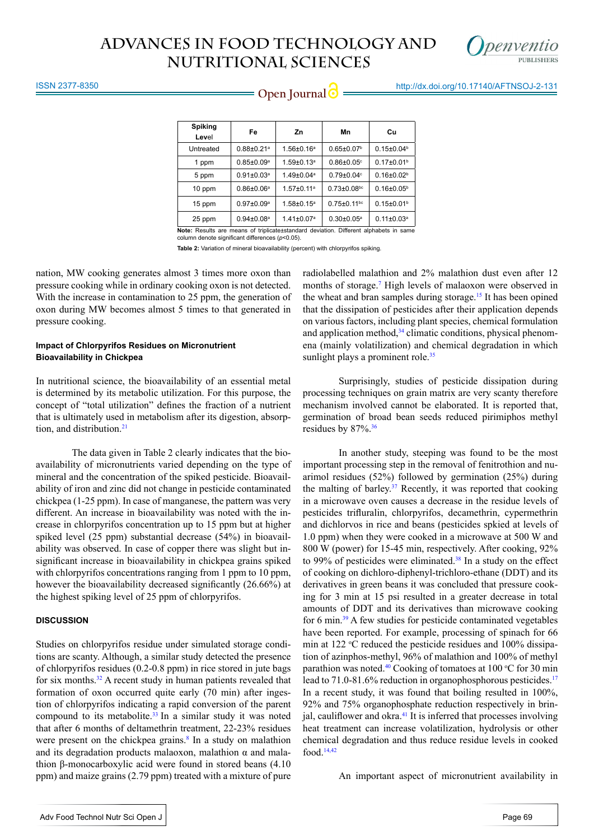

#### ISSN 2377-8350

**Open Journal @** http://dx.doi.org/10.17140/AFTNSOJ-2-131

| <b>Spiking</b><br>Level                                                               | Fe                           | Zn                           | Mn                            | Cu                           |  |  |
|---------------------------------------------------------------------------------------|------------------------------|------------------------------|-------------------------------|------------------------------|--|--|
| Untreated                                                                             | $0.88 \pm 0.21$ <sup>a</sup> | $1.56 \pm 0.16^a$            | $0.65 \pm 0.07$ <sup>b</sup>  | $0.15 \pm 0.04^b$            |  |  |
| 1 ppm                                                                                 | $0.85 \pm 0.09$ <sup>a</sup> | $1.59 \pm 0.13$ <sup>a</sup> | $0.86 \pm 0.05$ °             | $0.17 \pm 0.01$ <sup>b</sup> |  |  |
| 5 ppm                                                                                 | $0.91 \pm 0.03$ <sup>a</sup> | $1.49 \pm 0.04$ <sup>a</sup> | $0.79 \pm 0.04$ <sup>c</sup>  | $0.16 \pm 0.02$ <sup>b</sup> |  |  |
| 10 ppm                                                                                | $0.86 \pm 0.06^a$            | $1.57 \pm 0.11^a$            | $0.73 \pm 0.08$ <sup>bc</sup> | $0.16 \pm 0.05^{\circ}$      |  |  |
| 15 ppm                                                                                | $0.97 \pm 0.09$ <sup>a</sup> | $1.58 \pm 0.15^a$            | $0.75 \pm 0.11$ bc            | $0.15 \pm 0.01$ <sup>b</sup> |  |  |
| 25 ppm                                                                                | $0.94 \pm 0.08$ <sup>a</sup> | $1.41 \pm 0.07$ <sup>a</sup> | $0.30 \pm 0.05^{\circ}$       | $0.11 \pm 0.03^a$            |  |  |
| Note: Results are means of triplicate±standard deviation. Different alphabets in same |                              |                              |                               |                              |  |  |

column denote significant differences (*p*<0.05).

**Table 2:** Variation of mineral bioavailability (percent) with chlorpyrifos spiking.

nation, MW cooking generates almost 3 times more oxon than pressure cooking while in ordinary cooking oxon is not detected. With the increase in contamination to 25 ppm, the generation of oxon during MW becomes almost 5 times to that generated in pressure cooking.

#### **Impact of Chlorpyrifos Residues on Micronutrient Bioavailability in Chickpea**

In nutritional science, the bioavailability of an essential metal is determined by its metabolic utilization. For this purpose, the concept of "total utilization" defines the fraction of a nutrient that is ultimately used in metabolism after its digestion, absorption, and distribution.<sup>21</sup>

The data given in Table 2 clearly indicates that the bioavailability of micronutrients varied depending on the type of mineral and the concentration of the spiked pesticide. Bioavailability of iron and zinc did not change in pesticide contaminated chickpea (1-25 ppm). In case of manganese, the pattern was very different. An increase in bioavailability was noted with the increase in chlorpyrifos concentration up to 15 ppm but at higher spiked level (25 ppm) substantial decrease (54%) in bioavailability was observed. In case of copper there was slight but insignificant increase in bioavailability in chickpea grains spiked with chlorpyrifos concentrations ranging from 1 ppm to 10 ppm, however the bioavailability decreased significantly (26.66%) at the highest spiking level of 25 ppm of chlorpyrifos.

#### **DISCUSSION**

Studies on chlorpyrifos residue under simulated storage conditions are scanty. Although, a similar study detected the presence of chlorpyrifos residues (0.2-0.8 ppm) in rice stored in jute bags for six months.[32](#page-7-17) A recent study in human patients revealed that formation of oxon occurred quite early (70 min) after ingestion of chlorpyrifos indicating a rapid conversion of the parent compound to its metabolite. $33$  In a similar study it was noted that after 6 months of deltamethrin treatment, 22-23% residues were present on the chickpea grains.<sup>[8](#page-6-6)</sup> In a study on malathion and its degradation products malaoxon, malathion  $\alpha$  and malathion β-monocarboxylic acid were found in stored beans (4.10 ppm) and maize grains (2.79 ppm) treated with a mixture of pure

radiolabelled malathion and 2% malathion dust even after 12 months of storage.<sup>7</sup> High levels of malaoxon were observed in the wheat and bran samples during storage.<sup>15</sup> It has been opined that the dissipation of pesticides after their application depends on various factors, including plant species, chemical formulation and application method, $34$  climatic conditions, physical phenomena (mainly volatilization) and chemical degradation in which sunlight plays a prominent role. $35$ 

Surprisingly, studies of pesticide dissipation during processing techniques on grain matrix are very scanty therefore mechanism involved cannot be elaborated. It is reported that, germination of broad bean seeds reduced pirimiphos methyl residues by 87%.<sup>36</sup>

In another study, steeping was found to be the most important processing step in the removal of fenitrothion and nuarimol residues (52%) followed by germination (25%) during the malting of barley. $37$  Recently, it was reported that cooking in a microwave oven causes a decrease in the residue levels of pesticides trifluralin, chlorpyrifos, decamethrin, cypermethrin and dichlorvos in rice and beans (pesticides spkied at levels of 1.0 ppm) when they were cooked in a microwave at 500 W and 800 W (power) for 15-45 min, respectively. After cooking, 92% to 99% of pesticides were eliminated.<sup>38</sup> In a study on the effect of cooking on dichloro-diphenyl-trichloro-ethane (DDT) and its derivatives in green beans it was concluded that pressure cooking for 3 min at 15 psi resulted in a greater decrease in total amounts of DDT and its derivatives than microwave cooking for 6 min[.39](#page-8-5) A few studies for pesticide contaminated vegetables have been reported. For example, processing of spinach for 66 min at 122  $\degree$ C reduced the pesticide residues and 100% dissipation of azinphos-methyl, 96% of malathion and 100% of methyl parathion was noted.<sup>40</sup> Cooking of tomatoes at  $100$  °C for 30 min lead to 71.0-81.6% reduction in organophosphorous pesticides.<sup>17</sup> In a recent study, it was found that boiling resulted in 100%, 92% and 75% organophosphate reduction respectively in brinjal, cauliflower and okra.<sup>41</sup> It is inferred that processes involving heat treatment can increase volatilization, hydrolysis or other chemical degradation and thus reduce residue levels in cooked food[.14](#page-7-18),[42](#page-8-8)

An important aspect of micronutrient availability in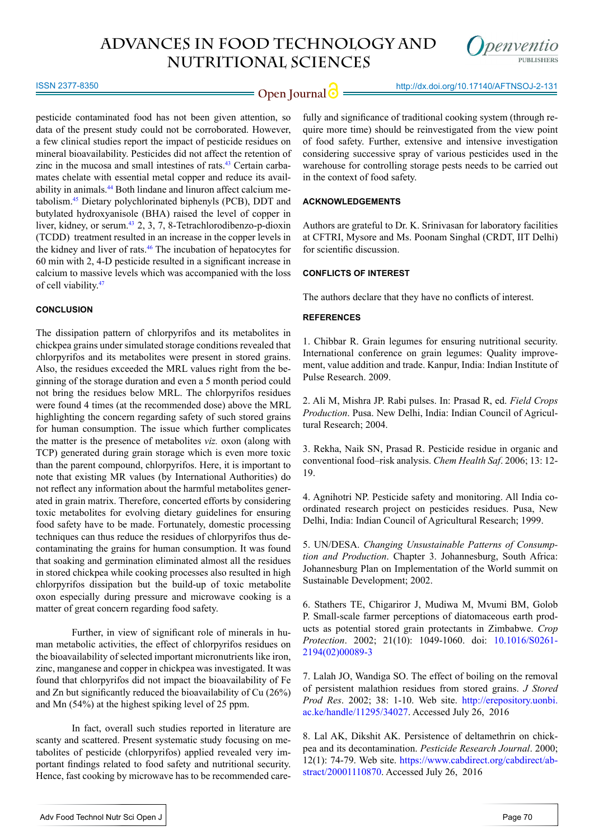

ISSN 2377-8350

**Open Journal**  $\bigcirc$  http://dx.doi.org/10.17140/AFTNSOJ-2-131

pesticide contaminated food has not been given attention, so data of the present study could not be corroborated. However, a few clinical studies report the impact of pesticide residues on mineral bioavailability. Pesticides did not affect the retention of zinc in the mucosa and small intestines of rats.[43](#page-8-9) Certain carbamates chelate with essential metal copper and reduce its availability in animals.[44](#page-8-10) Both lindane and linuron affect calcium metabolism.[45](#page-8-11) Dietary polychlorinated biphenyls (PCB), DDT and butylated hydroxyanisole (BHA) raised the level of copper in liver, kidney, or serum.[43](#page-8-9) 2, 3, 7, 8-Tetrachlorodibenzo-p-dioxin (TCDD[\)](http://carcin.oxfordjournals.org/cgi/content/full/21/5/881) treatment resulted in an increase in the copper levels in the kidney and liver of rats[.46](#page-8-12) The incubation of hepatocytes for 60 min with 2, 4-D pesticide resulted in a significant increase in calcium to massive levels which was accompanied with the loss of cell viability.[47](#page-8-13)

#### **CONCLUSION**

The dissipation pattern of chlorpyrifos and its metabolites in chickpea grains under simulated storage conditions revealed that chlorpyrifos and its metabolites were present in stored grains. Also, the residues exceeded the MRL values right from the beginning of the storage duration and even a 5 month period could not bring the residues below MRL. The chlorpyrifos residues were found 4 times (at the recommended dose) above the MRL highlighting the concern regarding safety of such stored grains for human consumption. The issue which further complicates the matter is the presence of metabolites *viz.* oxon (along with TCP) generated during grain storage which is even more toxic than the parent compound, chlorpyrifos. Here, it is important to note that existing MR values (by International Authorities) do not reflect any information about the harmful metabolites generated in grain matrix. Therefore, concerted efforts by considering toxic metabolites for evolving dietary guidelines for ensuring food safety have to be made. Fortunately, domestic processing techniques can thus reduce the residues of chlorpyrifos thus decontaminating the grains for human consumption. It was found that soaking and germination eliminated almost all the residues in stored chickpea while cooking processes also resulted in high chlorpyrifos dissipation but the build-up of toxic metabolite oxon especially during pressure and microwave cooking is a matter of great concern regarding food safety.

Further, in view of significant role of minerals in human metabolic activities, the effect of chlorpyrifos residues on the bioavailability of selected important micronutrients like iron, zinc, manganese and copper in chickpea was investigated. It was found that chlorpyrifos did not impact the bioavailability of Fe and Zn but significantly reduced the bioavailability of Cu (26%) and Mn (54%) at the highest spiking level of 25 ppm.

In fact, overall such studies reported in literature are scanty and scattered. Present systematic study focusing on metabolites of pesticide (chlorpyrifos) applied revealed very important findings related to food safety and nutritional security. Hence, fast cooking by microwave has to be recommended carefully and significance of traditional cooking system (through require more time) should be reinvestigated from the view point of food safety. Further, extensive and intensive investigation considering successive spray of various pesticides used in the warehouse for controlling storage pests needs to be carried out in the context of food safety.

#### **ACKNOWLEDGEMENTS**

Authors are grateful to Dr. K. Srinivasan for laboratory facilities at CFTRI, Mysore and Ms. Poonam Singhal (CRDT, IIT Delhi) for scientific discussion.

#### **CONFLICTS OF INTEREST**

The authors declare that they have no conflicts of interest.

#### **REFERENCES**

<span id="page-6-0"></span>1. Chibbar R. Grain legumes for ensuring nutritional security. International conference on grain legumes: Quality improvement, value addition and trade. Kanpur, India: Indian Institute of Pulse Research. 2009.

<span id="page-6-1"></span>2. Ali M, Mishra JP. Rabi pulses. In: Prasad R, ed. *Field Crops Production*. Pusa. New Delhi, India: Indian Council of Agricultural Research; 2004.

<span id="page-6-2"></span>3. Rekha, Naik SN, Prasad R. Pesticide residue in organic and conventional food–risk analysis. *Chem Health Saf*. 2006; 13: 12- 19.

<span id="page-6-3"></span>4. Agnihotri NP. Pesticide safety and monitoring. All India coordinated research project on pesticides residues. Pusa, New Delhi, India: Indian Council of Agricultural Research; 1999.

5. UN/DESA. *Changing Unsustainable Patterns of Consumption and Production*. Chapter 3. Johannesburg, South Africa: Johannesburg Plan on Implementation of the World summit on Sustainable Development; 2002.

<span id="page-6-4"></span>6. Stathers TE, Chigariror J, Mudiwa M, Mvumi BM, Golob P. Small-scale farmer perceptions of diatomaceous earth products as potential stored grain protectants in Zimbabwe. *Crop Protection*. 2002; 21(10): 1049-1060. doi: [10.1016/S0261-](https://www.gov.uk/dfid-research-outputs/small-scale-farmer-perceptions-of-diatomaceous-earth-products-as-potential-stored-grain-protectants-in-zimbabwe) [2194\(02\)00089-3](https://www.gov.uk/dfid-research-outputs/small-scale-farmer-perceptions-of-diatomaceous-earth-products-as-potential-stored-grain-protectants-in-zimbabwe) 

<span id="page-6-5"></span>7. Lalah JO, Wandiga SO. The effect of boiling on the removal of persistent malathion residues from stored grains. *J Stored Prod Res*. 2002; 38: 1-10. Web site. [http://erepository.uonbi.](http://erepository.uonbi.ac.ke/handle/11295/34027) [ac.ke/handle/11295/34027](http://erepository.uonbi.ac.ke/handle/11295/34027). Accessed July 26, 2016

<span id="page-6-6"></span>8. Lal AK, Dikshit AK. Persistence of deltamethrin on chickpea and its decontamination. *Pesticide Research Journal*. 2000; 12(1): 74-79. Web site. [https://www.cabdirect.org/cabdirect/ab](https://www.cabdirect.org/cabdirect/abstract/20001110870)[stract/20001110870](https://www.cabdirect.org/cabdirect/abstract/20001110870). Accessed July 26, 2016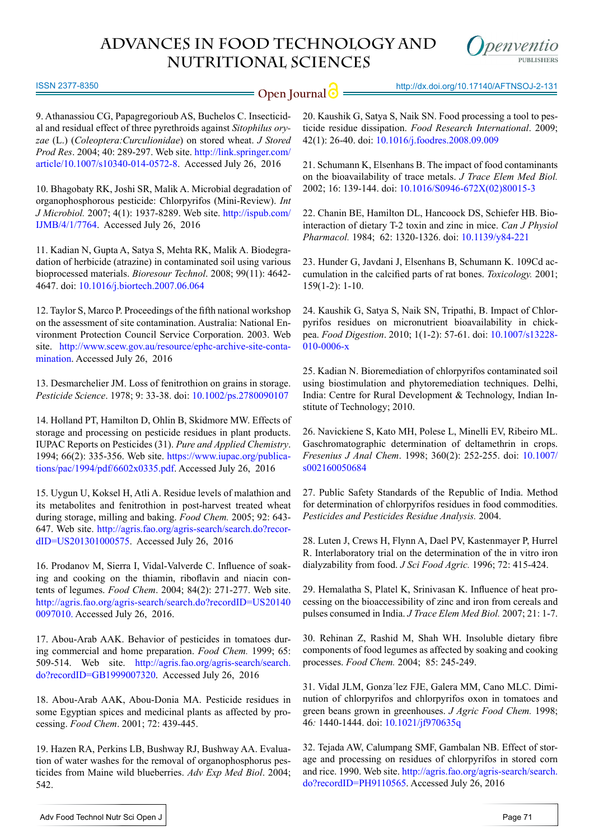

ISSN 2377-8350

**Open Journal**  $\odot$  http://dx.doi.org/10.17140/AFTNSOJ-2-131

9. Athanassiou CG, Papagregorioub AS, Buchelos C. Insecticidal and residual effect of three pyrethroids against *Sitophilus oryzae* (L.) (*Coleoptera:Curculionidae*) on stored wheat. *J Stored Prod Res*. 2004; 40: 289-297. Web site. [http://link.springer.com/](http://link.springer.com/article/10.1007/s10340-014-0572-8) [article/10.1007/s10340-014-0572-8.](http://link.springer.com/article/10.1007/s10340-014-0572-8) Accessed July 26, 2016

<span id="page-7-0"></span>10. Bhagobaty RK, Joshi SR, Malik A. Microbial degradation of organophosphorous pesticide: Chlorpyrifos (Mini-Review). *Int J Microbiol.* 2007; 4(1): 1937-8289. Web site. [http://ispub.com/](http://ispub.com/IJMB/4/1/7764) [IJMB/4/1/7764](http://ispub.com/IJMB/4/1/7764). Accessed July 26, 2016

<span id="page-7-1"></span>11. Kadian N, Gupta A, Satya S, Mehta RK, Malik A. Biodegradation of herbicide (atrazine) in contaminated soil using various bioprocessed materials. *Bioresour Technol*. 2008; 99(11): 4642- 4647. doi: [10.1016/j.biortech.2007.06.064](http://www.sciencedirect.com/science/article/pii/S0960852407005846)

<span id="page-7-2"></span>12. Taylor S, Marco P. Proceedings of the fifth national workshop on the assessment of site contamination. Australia: National Environment Protection Council Service Corporation. 2003. Web site. [http://www.scew.gov.au/resource/ephc-archive-site-conta](http://www.scew.gov.au/resource/ephc-archive-site-contamination)[mination.](http://www.scew.gov.au/resource/ephc-archive-site-contamination) Accessed July 26, 2016

<span id="page-7-3"></span>13. Desmarchelier JM. Loss of fenitrothion on grains in storage. *Pesticide Science*. 1978; 9: 33-38. doi: [10.1002/ps.2780090107](http://onlinelibrary.wiley.com/doi/10.1002/ps.2780090107/abstract%20)

<span id="page-7-18"></span>14. Holland PT, Hamilton D, Ohlin B, Skidmore MW. Effects of storage and processing on pesticide residues in plant products. IUPAC Reports on Pesticides (31). *Pure and Applied Chemistry*. 1994; 66(2): 335-356. Web site. [https://www.iupac.org/publica](https://www.iupac.org/publications/pac/1994/pdf/6602x0335.pdf)[tions/pac/1994/pdf/6602x0335.pdf.](https://www.iupac.org/publications/pac/1994/pdf/6602x0335.pdf) Accessed July 26, 2016

<span id="page-7-12"></span>15. Uygun U, Koksel H, Atli A. Residue levels of malathion and its metabolites and fenitrothion in post-harvest treated wheat during storage, milling and baking. *Food Chem.* 2005; 92: 643- 647. Web site. [http://agris.fao.org/agris-search/search.do?recor](http://agris.fao.org/agris-search/search.do?recordID=US201301000575)[dID=US201301000575.](http://agris.fao.org/agris-search/search.do?recordID=US201301000575) Accessed July 26, 2016

<span id="page-7-4"></span>16. Prodanov M, Sierra I, Vidal-Valverde C. Influence of soaking and cooking on the thiamin, riboflavin and niacin contents of legumes. *Food Chem*. 2004; 84(2): 271-277. Web site. [http://agris.fao.org/agris-search/search.do?recordID=US20140](http://agris.fao.org/agris-search/search.do%3FrecordID%3DUS201400097010.) [0097010.](http://agris.fao.org/agris-search/search.do%3FrecordID%3DUS201400097010.) Accessed July 26, 2016.

<span id="page-7-5"></span>17. Abou-Arab AAK. Behavior of pesticides in tomatoes during commercial and home preparation. *Food Chem.* 1999; 65: 509-514. Web site. [http://agris.fao.org/agris-search/search.](http://agris.fao.org/agris-search/search.do?recordID=GB1999007320) [do?recordID=GB1999007320](http://agris.fao.org/agris-search/search.do?recordID=GB1999007320). Accessed July 26, 2016

18. Abou-Arab AAK, Abou-Donia MA. Pesticide residues in some Egyptian spices and medicinal plants as affected by processing. *Food Chem*. 2001; 72: 439-445.

19. Hazen RA, Perkins LB, Bushway RJ, Bushway AA. Evaluation of water washes for the removal of organophosphorus pesticides from Maine wild blueberries. *Adv Exp Med Biol*. 2004; 542.

20. Kaushik G, Satya S, Naik SN. Food processing a tool to pesticide residue dissipation. *Food Research International*. 2009; 42(1): 26-40. doi: [10.1016/j.foodres.2008.09.009](https://www.cabdirect.org/cabdirect/abstract/20093101889)

21. Schumann K, Elsenhans B. The impact of food contaminants on the bioavailability of trace metals. *J Trace Elem Med Biol.*  2002; 16: 139-144. doi: [10.1016/S0946-672X\(02\)80015-3](http://www.sciencedirect.com/science/article/pii/S0946672X02800153)

<span id="page-7-6"></span>22. Chanin BE, Hamilton DL, Hancoock DS, Schiefer HB. Biointeraction of dietary T-2 toxin and zinc in mice. *Can J Physiol Pharmacol.* 1984; 62: 1320-1326. doi: [10.1139/y84-221](http://www.nrcresearchpress.com/doi/abs/10.1139/y84-221%3FjournalCode%3Dcjpp%23.V6sbqPl97cs)

<span id="page-7-7"></span>23. Hunder G, Javdani J, Elsenhans B, Schumann K. 109Cd accumulation in the calcified parts of rat bones. *Toxicology.* 2001; 159(1-2): 1-10.

<span id="page-7-8"></span>24. Kaushik G, Satya S, Naik SN, Tripathi, B. Impact of Chlorpyrifos residues on micronutrient bioavailability in chickpea. *Food Digestion*. 2010; 1(1-2): 57-61. doi: [10.1007/s13228-](http://link.springer.com/article/10.1007/s13228-010-0006-x) [010-0006-x](http://link.springer.com/article/10.1007/s13228-010-0006-x) 

<span id="page-7-9"></span>25. Kadian N. Bioremediation of chlorpyrifos contaminated soil using biostimulation and phytoremediation techniques. Delhi, India: Centre for Rural Development & Technology, Indian Institute of Technology; 2010.

<span id="page-7-10"></span>26. Navickiene S, Kato MH, Polese L, Minelli EV, Ribeiro ML. Gaschromatographic determination of deltamethrin in crops. *Fresenius J Anal Chem*. 1998; 360(2): 252-255. doi: [10.1007/](http://link.springer.com/article/10.1007/s002160050684) [s002160050684](http://link.springer.com/article/10.1007/s002160050684)

<span id="page-7-11"></span>27. Public Safety Standards of the Republic of India. Method for determination of chlorpyrifos residues in food commodities. *Pesticides and Pesticides Residue Analysis.* 2004.

<span id="page-7-13"></span>28. Luten J, Crews H, Flynn A, Dael PV, Kastenmayer P, Hurrel R. Interlaboratory trial on the determination of the in vitro iron dialyzability from food. *J Sci Food Agric.* 1996; 72: 415-424.

<span id="page-7-14"></span>29. Hemalatha S, Platel K, Srinivasan K. Influence of heat processing on the bioaccessibility of zinc and iron from cereals and pulses consumed in India. *J Trace Elem Med Biol.* 2007; 21: 1-7.

<span id="page-7-15"></span>30. Rehinan Z, Rashid M, Shah WH. Insoluble dietary fibre components of food legumes as affected by soaking and cooking processes. *Food Chem.* 2004; 85: 245-249.

<span id="page-7-16"></span>31. Vidal JLM, Gonza´lez FJE, Galera MM, Cano MLC. Diminution of chlorpyrifos and chlorpyrifos oxon in tomatoes and green beans grown in greenhouses. *J Agric Food Chem.* 1998; 46*:* 1440-1444. doi: [10.1021/jf970635q](http://pubs.acs.org/doi/abs/10.1021/jf970635q) 

<span id="page-7-17"></span>32. Tejada AW, Calumpang SMF, Gambalan NB. Effect of storage and processing on residues of chlorpyrifos in stored corn and rice. 1990. Web site. [http://agris.fao.org/agris-search/search.](http://agris.fao.org/agris-search/search.do?recordID=PH9110565) [do?recordID=PH9110565](http://agris.fao.org/agris-search/search.do?recordID=PH9110565). Accessed July 26, 2016